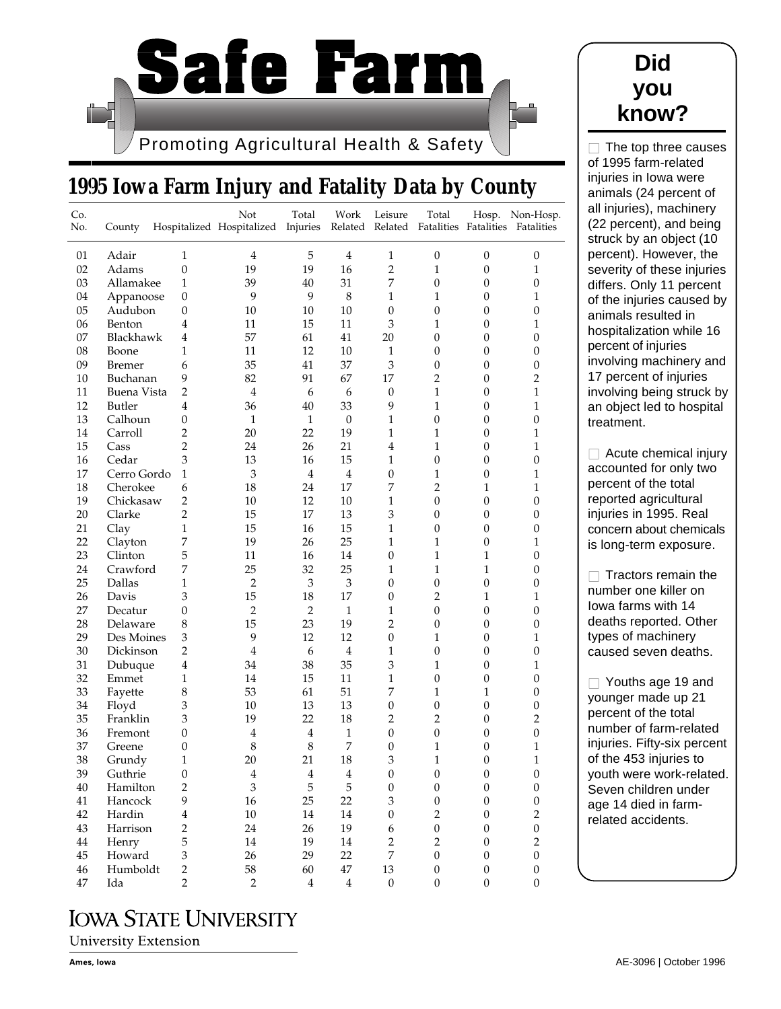

# **1995 Iowa Farm Injury and Fatality Data by County**

|    | County        |                         | Hospitalized Hospitalized Injuries |                | Work<br>Related | Leisure                     | Related Fatalities Fatalities Fatalities |                  | Hosp. Non-Hosp.  |
|----|---------------|-------------------------|------------------------------------|----------------|-----------------|-----------------------------|------------------------------------------|------------------|------------------|
| 01 | Adair         | 1                       | 4                                  | 5              | $\overline{4}$  | 1                           | $\mathbf{0}$                             | $\boldsymbol{0}$ | $\mathbf{0}$     |
| 02 | Adams         | $\boldsymbol{0}$        | 19                                 | 19             | 16              | $\overline{2}$              | $\mathbf{1}$                             | $\boldsymbol{0}$ | $\mathbf{1}$     |
| 03 | Allamakee     | $\mathbf{1}$            | 39                                 | 40             | 31              | 7                           | $\boldsymbol{0}$                         | 0                | $\mathbf{0}$     |
| 04 | Appanoose     | $\mathbf{0}$            | 9                                  | 9              | 8               | 1                           | 1                                        | 0                | 1                |
| 05 | Audubon       | $\mathbf{0}$            | 10                                 | 10             | 10              | $\mathbf{0}$                | $\mathbf{0}$                             | 0                | 0                |
| 06 | Benton        | 4                       | 11                                 | 15             | 11              | $\mathfrak{Z}$              | 1                                        | 0                | 1                |
| 07 | Blackhawk     | 4                       | 57                                 | 61             | 41              | 20                          | $\mathbf{0}$                             | 0                | $\mathbf{0}$     |
| 08 | Boone         | 1                       | 11                                 | 12             | 10              | $\mathbf{1}$                | $\mathbf{0}$                             | $\boldsymbol{0}$ | $\mathbf{0}$     |
| 09 | <b>Bremer</b> | 6                       | 35                                 | 41             | 37              | $\mathfrak{Z}$              | $\mathbf{0}$                             | $\overline{0}$   | $\mathbf{0}$     |
| 10 | Buchanan      | 9                       | 82                                 | 91             | 67              | 17                          | 2                                        | 0                | $\overline{2}$   |
| 11 | Buena Vista   | 2                       | 4                                  | 6              | 6               | $\boldsymbol{0}$            | 1                                        | 0                | 1                |
| 12 | Butler        | 4                       | 36                                 | 40             | 33              | 9                           | 1                                        | 0                | $\mathbf{1}$     |
| 13 | Calhoun       | 0                       | 1                                  | 1              | $\mathbf{0}$    | 1                           | $\mathbf{0}$                             | 0                | $\mathbf{0}$     |
| 14 | Carroll       | 2                       | 20                                 | 22             | 19              | 1                           | 1                                        | 0                | 1                |
| 15 | Cass          | 2                       | 24                                 | 26             | 21              | $\overline{4}$              | 1                                        | $\mathbf{0}$     | 1                |
| 16 | Cedar         | 3                       | 13                                 | 16             | 15              | $\mathbf{1}$                | $\boldsymbol{0}$                         | $\boldsymbol{0}$ | $\mathbf{0}$     |
| 17 | Cerro Gordo   | 1                       | 3                                  | $\overline{4}$ | $\overline{4}$  | $\boldsymbol{0}$            | 1                                        | $\boldsymbol{0}$ | $\mathbf{1}$     |
| 18 | Cherokee      | 6                       | 18                                 | 24             | 17              | 7                           | $\overline{2}$                           | $\mathbf 1$      | 1                |
| 19 | Chickasaw     | 2                       | 10                                 | 12             | 10              | 1                           | $\mathbf{0}$                             | $\theta$         | $\mathbf{0}$     |
| 20 | Clarke        | 2                       | 15                                 | 17             | 13              | $\ensuremath{\mathfrak{Z}}$ | $\mathbf{0}$                             | $\boldsymbol{0}$ | $\mathbf{0}$     |
| 21 | Clay          | 1                       | 15                                 | 16             | 15              | $\mathbf{1}$                | $\mathbf{0}$                             | 0                | $\mathbf{0}$     |
| 22 | Clayton       | 7                       | 19                                 | 26             | 25              | $\mathbf{1}$                | $\mathbf{1}$                             | $\boldsymbol{0}$ | 1                |
| 23 | Clinton       | 5                       | 11                                 | 16             | 14              | $\boldsymbol{0}$            | 1                                        | $\mathbf{1}$     | $\mathbf{0}$     |
| 24 | Crawford      | 7                       | 25                                 | 32             | 25              | 1                           | 1                                        | 1                | 0                |
| 25 | Dallas        | 1                       | $\overline{2}$                     | 3              | $\mathfrak{Z}$  | $\boldsymbol{0}$            | $\mathbf{0}$                             | $\boldsymbol{0}$ | $\mathbf{0}$     |
| 26 | Davis         | 3                       | 15                                 | 18             | 17              | $\boldsymbol{0}$            | $\overline{2}$                           | $\mathbf{1}$     | 1                |
| 27 | Decatur       | $\mathbf{0}$            | $\boldsymbol{2}$                   | $\overline{2}$ | $\mathbf{1}$    | 1                           | $\mathbf{0}$                             | 0                | $\mathbf{0}$     |
| 28 | Delaware      | 8                       | 15                                 | 23             | 19              | 2                           | $\mathbf{0}$                             | 0                | 0                |
| 29 | Des Moines    | 3                       | 9                                  | 12             | 12              | $\boldsymbol{0}$            | 1                                        | 0                | 1                |
| 30 | Dickinson     | $\overline{2}$          | $\overline{\mathbf{4}}$            | 6              | $\overline{4}$  | $\mathbf{1}$                | $\boldsymbol{0}$                         | 0                | $\mathbf{0}$     |
| 31 | Dubuque       | 4                       | 34                                 | 38             | 35              | 3                           | 1                                        | 0                | 1                |
| 32 | Emmet         | 1                       | 14                                 | 15             | 11              | 1                           | $\mathbf{0}$                             | $\boldsymbol{0}$ | $\mathbf{0}$     |
| 33 | Fayette       | 8                       | 53                                 | 61             | 51              | 7                           | 1                                        | 1                | 0                |
| 34 | Floyd         | 3                       | 10                                 | 13             | 13              | $\boldsymbol{0}$            | $\boldsymbol{0}$                         | 0                | $\mathbf{0}$     |
| 35 | Franklin      | 3                       | 19                                 | 22             | 18              | 2                           | $\overline{c}$                           | 0                | $\boldsymbol{2}$ |
| 36 | Fremont       | 0                       | $\overline{4}$                     | $\overline{4}$ | 1               | $\boldsymbol{0}$            | $\mathbf{0}$                             | 0                | $\mathbf{0}$     |
| 37 | Greene        | 0                       | 8                                  | 8              | 7               | $\boldsymbol{0}$            | 1                                        | 0                | 1                |
| 38 | Grundy        | 1                       | 20                                 | 21             | 18              | 3                           | 1                                        | 0                | 1                |
| 39 | Guthrie       | $\boldsymbol{0}$        | $\overline{4}$                     | $\bf 4$        | $\bf 4$         | $\boldsymbol{0}$            | $\boldsymbol{0}$                         | $\boldsymbol{0}$ | $\boldsymbol{0}$ |
| 40 | Hamilton      | $\boldsymbol{2}$        | 3                                  | 5              | $\mathbf 5$     | $\boldsymbol{0}$            | $\boldsymbol{0}$                         | $\boldsymbol{0}$ | $\boldsymbol{0}$ |
| 41 | Hancock       | 9                       | $16\,$                             | 25             | 22              | $\ensuremath{\mathfrak{Z}}$ | $\boldsymbol{0}$                         | $\boldsymbol{0}$ | $\boldsymbol{0}$ |
| 42 | Hardin        | $\overline{\mathbf{4}}$ | $10\,$                             | 14             | $14\,$          | $\boldsymbol{0}$            | $\overline{2}$                           | $\boldsymbol{0}$ | $\overline{2}$   |
| 43 | Harrison      | $\overline{c}$          | 24                                 | $26\,$         | 19              | $\boldsymbol{6}$            | $\boldsymbol{0}$                         | $\boldsymbol{0}$ | $\boldsymbol{0}$ |
| 44 | Henry         | 5                       | $14\,$                             | 19             | $14\,$          | $\overline{2}$              | $\overline{c}$                           | $\boldsymbol{0}$ | $\overline{2}$   |
| 45 | Howard        | 3                       | 26                                 | 29             | 22              | $\boldsymbol{7}$            | $\boldsymbol{0}$                         | $\boldsymbol{0}$ | $\boldsymbol{0}$ |
| 46 | Humboldt      | $\sqrt{2}$              | 58                                 | 60             | $47\,$          | 13                          | $\boldsymbol{0}$                         | $\boldsymbol{0}$ | $\boldsymbol{0}$ |
| 47 | Ida           | $\overline{2}$          | $\overline{c}$                     | $\bf 4$        | $\bf 4$         | $\boldsymbol{0}$            | $\boldsymbol{0}$                         | $\boldsymbol{0}$ | $\boldsymbol{0}$ |

**Did**

 $\Box$  The top three causes of 1995 farm-related injuries in Iowa were animals (24 percent of all injuries), machinery (22 percent), and being struck by an object (10 percent). However, the severity of these injuries differs. Only 11 percent of the injuries caused by animals resulted in hospitalization while 16 percent of injuries nvolving machinery and 17 percent of injuries nvolving being struck by an object led to hospital reatment.

□ Acute chemical injury accounted for only two percent of the total reported agricultural njuries in 1995. Real concern about chemicals s long-term exposure.

 $\Box$  Tractors remain the number one killer on owa farms with 14 deaths reported. Other ypes of machinery caused seven deaths.

■ Youths age 19 and younger made up 21 percent of the total number of farm-related njuries. Fifty-six percent of the 453 injuries to youth were work-related. Seven children under age 14 died in farmrelated accidents.

## **IOWA STATE UNIVERSITY**

**University Extension**